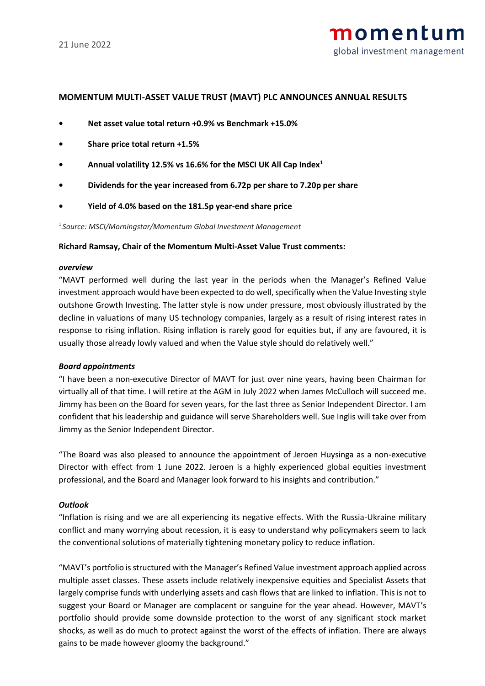# **MOMENTUM MULTI-ASSET VALUE TRUST (MAVT) PLC ANNOUNCES ANNUAL RESULTS**

- **• Net asset value total return +0.9% vs Benchmark +15.0%**
- **• Share price total return +1.5%**
- **• Annual volatility 12.5% vs 16.6% for the MSCI UK All Cap Index<sup>1</sup>**
- **• Dividends for the year increased from 6.72p per share to 7.20p per share**
- **• Yield of 4.0% based on the 181.5p year-end share price**

1 *Source: MSCI/Morningstar/Momentum Global Investment Management*

### **Richard Ramsay, Chair of the Momentum Multi-Asset Value Trust comments:**

### *overview*

"MAVT performed well during the last year in the periods when the Manager's Refined Value investment approach would have been expected to do well, specifically when the Value Investing style outshone Growth Investing. The latter style is now under pressure, most obviously illustrated by the decline in valuations of many US technology companies, largely as a result of rising interest rates in response to rising inflation. Rising inflation is rarely good for equities but, if any are favoured, it is usually those already lowly valued and when the Value style should do relatively well."

### *Board appointments*

"I have been a non-executive Director of MAVT for just over nine years, having been Chairman for virtually all of that time. I will retire at the AGM in July 2022 when James McCulloch will succeed me. Jimmy has been on the Board for seven years, for the last three as Senior Independent Director. I am confident that his leadership and guidance will serve Shareholders well. Sue Inglis will take over from Jimmy as the Senior Independent Director.

"The Board was also pleased to announce the appointment of Jeroen Huysinga as a non-executive Director with effect from 1 June 2022. Jeroen is a highly experienced global equities investment professional, and the Board and Manager look forward to his insights and contribution."

## *Outlook*

"Inflation is rising and we are all experiencing its negative effects. With the Russia-Ukraine military conflict and many worrying about recession, it is easy to understand why policymakers seem to lack the conventional solutions of materially tightening monetary policy to reduce inflation.

"MAVT's portfolio is structured with the Manager's Refined Value investment approach applied across multiple asset classes. These assets include relatively inexpensive equities and Specialist Assets that largely comprise funds with underlying assets and cash flows that are linked to inflation. This is not to suggest your Board or Manager are complacent or sanguine for the year ahead. However, MAVT's portfolio should provide some downside protection to the worst of any significant stock market shocks, as well as do much to protect against the worst of the effects of inflation. There are always gains to be made however gloomy the background."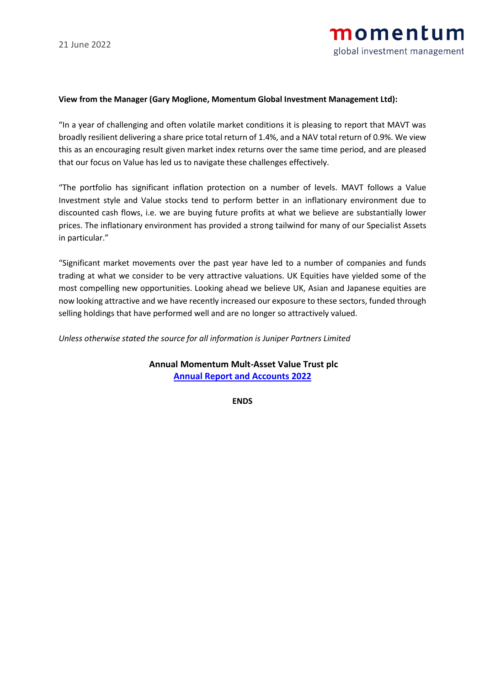## **View from the Manager (Gary Moglione, Momentum Global Investment Management Ltd):**

"In a year of challenging and often volatile market conditions it is pleasing to report that MAVT was broadly resilient delivering a share price total return of 1.4%, and a NAV total return of 0.9%. We view this as an encouraging result given market index returns over the same time period, and are pleased that our focus on Value has led us to navigate these challenges effectively.

"The portfolio has significant inflation protection on a number of levels. MAVT follows a Value Investment style and Value stocks tend to perform better in an inflationary environment due to discounted cash flows, i.e. we are buying future profits at what we believe are substantially lower prices. The inflationary environment has provided a strong tailwind for many of our Specialist Assets in particular."

"Significant market movements over the past year have led to a number of companies and funds trading at what we consider to be very attractive valuations. UK Equities have yielded some of the most compelling new opportunities. Looking ahead we believe UK, Asian and Japanese equities are now looking attractive and we have recently increased our exposure to these sectors, funded through selling holdings that have performed well and are no longer so attractively valued.

*Unless otherwise stated the source for all information is Juniper Partners Limited*

**Annual Momentum Mult-Asset Value Trust plc [Annual Report and Accounts 2022](https://momentum.co.uk/media/6310/mavt-2022-annual-report.pdf)**

**ENDS**